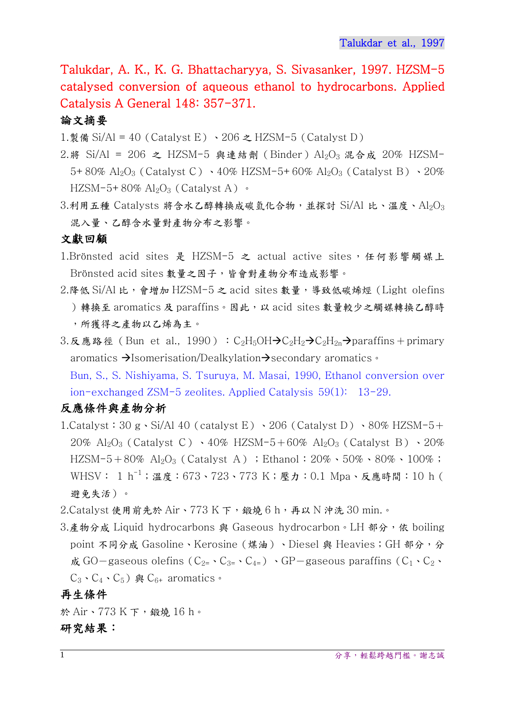Talukdar, A. K., K. G. Bhattacharyya, S. Sivasanker, 1997. HZSM-5 catalysed conversion of aqueous ethanol to hydrocarbons. Applied Catalysis A General 148: 357-371.

# 論文摘要

1.製備 Si/Al = 40 (Catalyst E)  $\cdot$  206  $\geq$  HZSM-5 (Catalyst D)

- 2.將 Si/Al = 206 之 HZSM-5 與連結劑 (Binder) Al2O<sub>3</sub> 混合成 20% HZSM-5+80% Al<sub>2</sub>O<sub>3</sub> (Catalyst C) · 40% HZSM-5+60% Al<sub>2</sub>O<sub>3</sub> (Catalyst B) · 20% HZSM-5+80%  $\text{Al}_2\text{O}_3$  (Catalyst A)  $\cdot$
- $3.$ 利用五種 Catalysts 將含水乙醇轉換成碳氫化合物,並探討 Si/Al 比、溫度、Al2O3 混入量、乙醇含水量對產物分布之影響。

#### 文獻回顧

- 1.Brönsted acid sites 是 HZSM-5 之 actual active sites,任何影響觸媒上 Brönsted acid sites 數量之因子,皆會對產物分布造成影響。
- 2.降低 Si/Al 比,會增加 HZSM-5 之 acid sites 數量,導致低碳烯烴 (Light olefins )轉換至 aromatics 及 paraffins。因此, 以 acid sites 數量較少之觸媒轉換乙醇時 ,所獲得之產物以乙烯為主。
- 3.反應路徑 (Bun et al., 1990): C<sub>2</sub>H<sub>5</sub>OH $\rightarrow$ C<sub>2</sub>H<sub>2</sub> $\rightarrow$ C<sub>2</sub>H<sub>2n</sub> $\rightarrow$ paraffins+primary aromatics  $\rightarrow$ Isomerisation/Dealkylation $\rightarrow$ secondary aromatics  $\cdot$

Bun, S., S. Nishiyama, S. Tsuruya, M. Masai, 1990, Ethanol conversion over ion-exchanged ZSM-5 zeolites. Applied Catalysis 59(1): 13-29.

# 反應條件與產物分析

- 1.Catalyst:  $30 \text{ g} \cdot \text{Si/A}$ l  $40$  (catalyst E)  $\cdot$   $206$  (Catalyst D)  $\cdot$   $80\%$  HZSM-5+ 20%  $Al_2O_3$  (Catalyst C)  $\cdot$  40% HZSM-5+60%  $Al_2O_3$  (Catalyst B)  $\cdot$  20% HZSM-5+80% Al<sub>2</sub>O<sub>3</sub> (Catalyst A); Ethanol:  $20\% \cdot 50\% \cdot 80\% \cdot 100\%$ ; WHSV: 1 h<sup>-1</sup>; 溫度: 673、723、773 K; 壓力: 0.1 Mpa、反應時間: 10 h ( 避免失活)。
- 2.Catalyst 使用前先於 Air、773 K 下,鍛燒 6 h,再以 N 沖洗 30 min.。
- 3.產物分成 Liquid hydrocarbons 與 Gaseous hydrocarbon。LH 部分,依 boiling point 不同分成 Gasoline、Kerosine (煤油)、Diesel 與 Heavies; GH 部分,分 成 GO-gaseous olefins ( $C_{2}$  ·  $C_{3}$  ·  $C_{4}$ ) · GP-gaseous paraffins ( $C_1$  ·  $C_2$  ·  $C_3$  、 $C_4$  、 $C_5$ ) 與  $C_{6+}$  aromatics 。

#### 再生條件

於 Air、773 K 下,鍛燒 16 h。 研究結果: